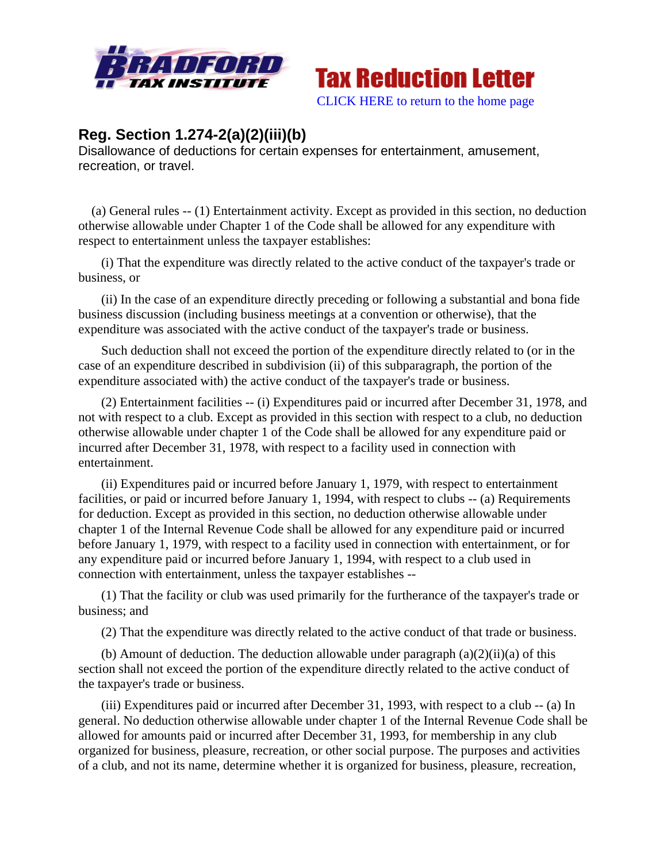



## **Reg. Section 1.274-2(a)(2)(iii)(b)**

Disallowance of deductions for certain expenses for entertainment, amusement, recreation, or travel.

 (a) General rules -- (1) Entertainment activity. Except as provided in this section, no deduction otherwise allowable under Chapter 1 of the Code shall be allowed for any expenditure with respect to entertainment unless the taxpayer establishes:

 (i) That the expenditure was directly related to the active conduct of the taxpayer's trade or business, or

 (ii) In the case of an expenditure directly preceding or following a substantial and bona fide business discussion (including business meetings at a convention or otherwise), that the expenditure was associated with the active conduct of the taxpayer's trade or business.

 Such deduction shall not exceed the portion of the expenditure directly related to (or in the case of an expenditure described in subdivision (ii) of this subparagraph, the portion of the expenditure associated with) the active conduct of the taxpayer's trade or business.

 (2) Entertainment facilities -- (i) Expenditures paid or incurred after December 31, 1978, and not with respect to a club. Except as provided in this section with respect to a club, no deduction otherwise allowable under chapter 1 of the Code shall be allowed for any expenditure paid or incurred after December 31, 1978, with respect to a facility used in connection with entertainment.

 (ii) Expenditures paid or incurred before January 1, 1979, with respect to entertainment facilities, or paid or incurred before January 1, 1994, with respect to clubs -- (a) Requirements for deduction. Except as provided in this section, no deduction otherwise allowable under chapter 1 of the Internal Revenue Code shall be allowed for any expenditure paid or incurred before January 1, 1979, with respect to a facility used in connection with entertainment, or for any expenditure paid or incurred before January 1, 1994, with respect to a club used in connection with entertainment, unless the taxpayer establishes --

 (1) That the facility or club was used primarily for the furtherance of the taxpayer's trade or business; and

(2) That the expenditure was directly related to the active conduct of that trade or business.

(b) Amount of deduction. The deduction allowable under paragraph  $(a)(2)(ii)(a)$  of this section shall not exceed the portion of the expenditure directly related to the active conduct of the taxpayer's trade or business.

 (iii) Expenditures paid or incurred after December 31, 1993, with respect to a club -- (a) In general. No deduction otherwise allowable under chapter 1 of the Internal Revenue Code shall be allowed for amounts paid or incurred after December 31, 1993, for membership in any club organized for business, pleasure, recreation, or other social purpose. The purposes and activities of a club, and not its name, determine whether it is organized for business, pleasure, recreation,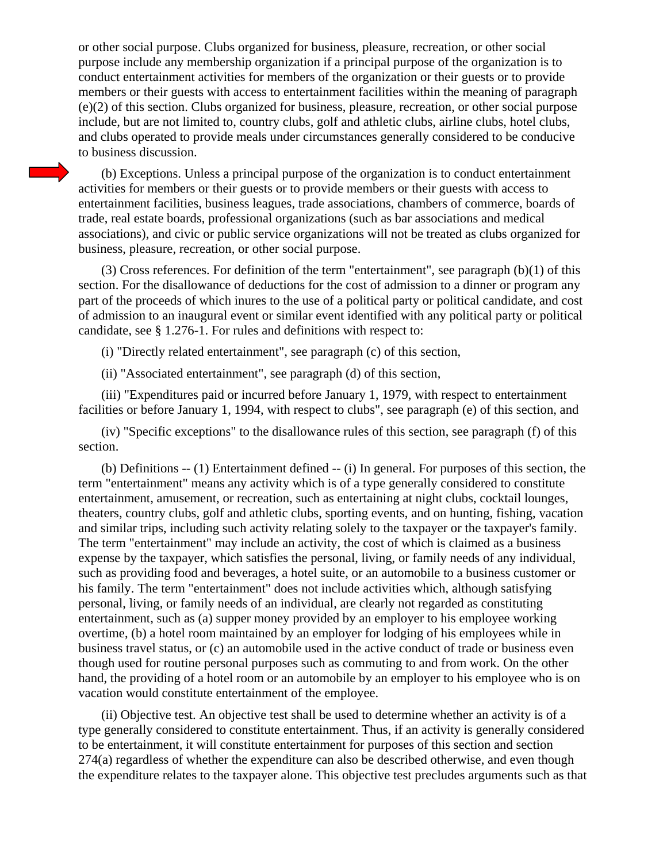or other social purpose. Clubs organized for business, pleasure, recreation, or other social purpose include any membership organization if a principal purpose of the organization is to conduct entertainment activities for members of the organization or their guests or to provide members or their guests with access to entertainment facilities within the meaning of paragraph (e)(2) of this section. Clubs organized for business, pleasure, recreation, or other social purpose include, but are not limited to, country clubs, golf and athletic clubs, airline clubs, hotel clubs, and clubs operated to provide meals under circumstances generally considered to be conducive to business discussion.

 (b) Exceptions. Unless a principal purpose of the organization is to conduct entertainment activities for members or their guests or to provide members or their guests with access to entertainment facilities, business leagues, trade associations, chambers of commerce, boards of trade, real estate boards, professional organizations (such as bar associations and medical associations), and civic or public service organizations will not be treated as clubs organized for business, pleasure, recreation, or other social purpose.

(3) Cross references. For definition of the term "entertainment", see paragraph  $(b)(1)$  of this section. For the disallowance of deductions for the cost of admission to a dinner or program any part of the proceeds of which inures to the use of a political party or political candidate, and cost of admission to an inaugural event or similar event identified with any political party or political candidate, see § 1.276-1. For rules and definitions with respect to:

(i) "Directly related entertainment", see paragraph (c) of this section,

(ii) "Associated entertainment", see paragraph (d) of this section,

 (iii) "Expenditures paid or incurred before January 1, 1979, with respect to entertainment facilities or before January 1, 1994, with respect to clubs", see paragraph (e) of this section, and

 (iv) "Specific exceptions" to the disallowance rules of this section, see paragraph (f) of this section.

 (b) Definitions -- (1) Entertainment defined -- (i) In general. For purposes of this section, the term "entertainment" means any activity which is of a type generally considered to constitute entertainment, amusement, or recreation, such as entertaining at night clubs, cocktail lounges, theaters, country clubs, golf and athletic clubs, sporting events, and on hunting, fishing, vacation and similar trips, including such activity relating solely to the taxpayer or the taxpayer's family. The term "entertainment" may include an activity, the cost of which is claimed as a business expense by the taxpayer, which satisfies the personal, living, or family needs of any individual, such as providing food and beverages, a hotel suite, or an automobile to a business customer or his family. The term "entertainment" does not include activities which, although satisfying personal, living, or family needs of an individual, are clearly not regarded as constituting entertainment, such as (a) supper money provided by an employer to his employee working overtime, (b) a hotel room maintained by an employer for lodging of his employees while in business travel status, or (c) an automobile used in the active conduct of trade or business even though used for routine personal purposes such as commuting to and from work. On the other hand, the providing of a hotel room or an automobile by an employer to his employee who is on vacation would constitute entertainment of the employee.

 (ii) Objective test. An objective test shall be used to determine whether an activity is of a type generally considered to constitute entertainment. Thus, if an activity is generally considered to be entertainment, it will constitute entertainment for purposes of this section and section 274(a) regardless of whether the expenditure can also be described otherwise, and even though the expenditure relates to the taxpayer alone. This objective test precludes arguments such as that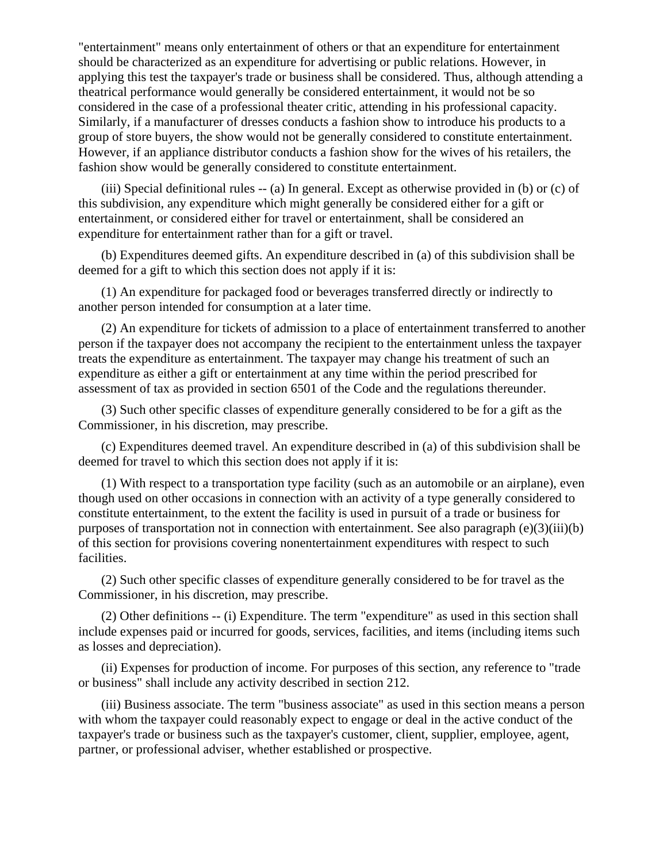"entertainment" means only entertainment of others or that an expenditure for entertainment should be characterized as an expenditure for advertising or public relations. However, in applying this test the taxpayer's trade or business shall be considered. Thus, although attending a theatrical performance would generally be considered entertainment, it would not be so considered in the case of a professional theater critic, attending in his professional capacity. Similarly, if a manufacturer of dresses conducts a fashion show to introduce his products to a group of store buyers, the show would not be generally considered to constitute entertainment. However, if an appliance distributor conducts a fashion show for the wives of his retailers, the fashion show would be generally considered to constitute entertainment.

 (iii) Special definitional rules -- (a) In general. Except as otherwise provided in (b) or (c) of this subdivision, any expenditure which might generally be considered either for a gift or entertainment, or considered either for travel or entertainment, shall be considered an expenditure for entertainment rather than for a gift or travel.

 (b) Expenditures deemed gifts. An expenditure described in (a) of this subdivision shall be deemed for a gift to which this section does not apply if it is:

 (1) An expenditure for packaged food or beverages transferred directly or indirectly to another person intended for consumption at a later time.

 (2) An expenditure for tickets of admission to a place of entertainment transferred to another person if the taxpayer does not accompany the recipient to the entertainment unless the taxpayer treats the expenditure as entertainment. The taxpayer may change his treatment of such an expenditure as either a gift or entertainment at any time within the period prescribed for assessment of tax as provided in section 6501 of the Code and the regulations thereunder.

 (3) Such other specific classes of expenditure generally considered to be for a gift as the Commissioner, in his discretion, may prescribe.

 (c) Expenditures deemed travel. An expenditure described in (a) of this subdivision shall be deemed for travel to which this section does not apply if it is:

 (1) With respect to a transportation type facility (such as an automobile or an airplane), even though used on other occasions in connection with an activity of a type generally considered to constitute entertainment, to the extent the facility is used in pursuit of a trade or business for purposes of transportation not in connection with entertainment. See also paragraph (e)(3)(iii)(b) of this section for provisions covering nonentertainment expenditures with respect to such facilities.

 (2) Such other specific classes of expenditure generally considered to be for travel as the Commissioner, in his discretion, may prescribe.

 (2) Other definitions -- (i) Expenditure. The term "expenditure" as used in this section shall include expenses paid or incurred for goods, services, facilities, and items (including items such as losses and depreciation).

 (ii) Expenses for production of income. For purposes of this section, any reference to "trade or business" shall include any activity described in section 212.

 (iii) Business associate. The term "business associate" as used in this section means a person with whom the taxpayer could reasonably expect to engage or deal in the active conduct of the taxpayer's trade or business such as the taxpayer's customer, client, supplier, employee, agent, partner, or professional adviser, whether established or prospective.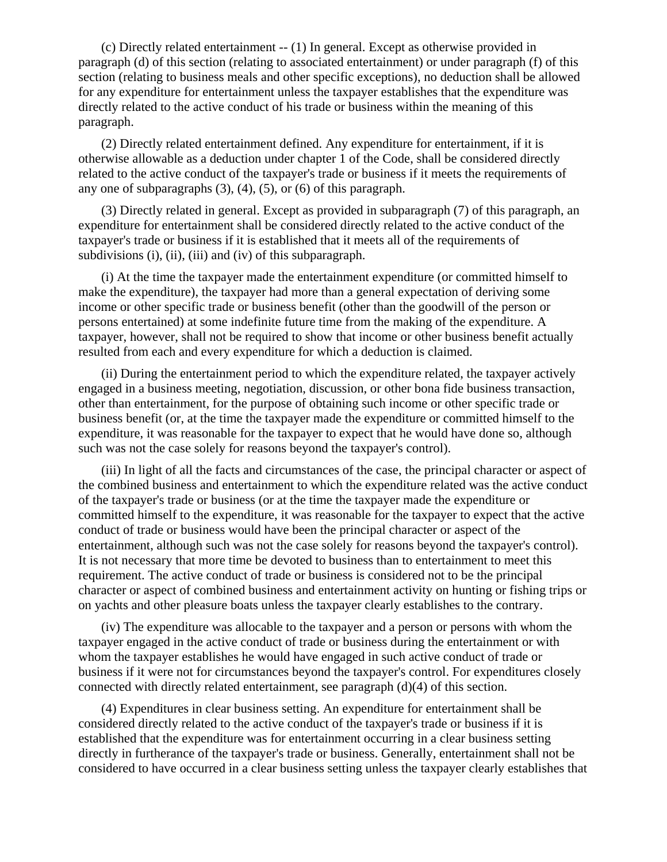(c) Directly related entertainment -- (1) In general. Except as otherwise provided in paragraph (d) of this section (relating to associated entertainment) or under paragraph (f) of this section (relating to business meals and other specific exceptions), no deduction shall be allowed for any expenditure for entertainment unless the taxpayer establishes that the expenditure was directly related to the active conduct of his trade or business within the meaning of this paragraph.

 (2) Directly related entertainment defined. Any expenditure for entertainment, if it is otherwise allowable as a deduction under chapter 1 of the Code, shall be considered directly related to the active conduct of the taxpayer's trade or business if it meets the requirements of any one of subparagraphs (3), (4), (5), or (6) of this paragraph.

 (3) Directly related in general. Except as provided in subparagraph (7) of this paragraph, an expenditure for entertainment shall be considered directly related to the active conduct of the taxpayer's trade or business if it is established that it meets all of the requirements of subdivisions (i), (ii), (iii) and (iv) of this subparagraph.

 (i) At the time the taxpayer made the entertainment expenditure (or committed himself to make the expenditure), the taxpayer had more than a general expectation of deriving some income or other specific trade or business benefit (other than the goodwill of the person or persons entertained) at some indefinite future time from the making of the expenditure. A taxpayer, however, shall not be required to show that income or other business benefit actually resulted from each and every expenditure for which a deduction is claimed.

 (ii) During the entertainment period to which the expenditure related, the taxpayer actively engaged in a business meeting, negotiation, discussion, or other bona fide business transaction, other than entertainment, for the purpose of obtaining such income or other specific trade or business benefit (or, at the time the taxpayer made the expenditure or committed himself to the expenditure, it was reasonable for the taxpayer to expect that he would have done so, although such was not the case solely for reasons beyond the taxpayer's control).

 (iii) In light of all the facts and circumstances of the case, the principal character or aspect of the combined business and entertainment to which the expenditure related was the active conduct of the taxpayer's trade or business (or at the time the taxpayer made the expenditure or committed himself to the expenditure, it was reasonable for the taxpayer to expect that the active conduct of trade or business would have been the principal character or aspect of the entertainment, although such was not the case solely for reasons beyond the taxpayer's control). It is not necessary that more time be devoted to business than to entertainment to meet this requirement. The active conduct of trade or business is considered not to be the principal character or aspect of combined business and entertainment activity on hunting or fishing trips or on yachts and other pleasure boats unless the taxpayer clearly establishes to the contrary.

 (iv) The expenditure was allocable to the taxpayer and a person or persons with whom the taxpayer engaged in the active conduct of trade or business during the entertainment or with whom the taxpayer establishes he would have engaged in such active conduct of trade or business if it were not for circumstances beyond the taxpayer's control. For expenditures closely connected with directly related entertainment, see paragraph (d)(4) of this section.

 (4) Expenditures in clear business setting. An expenditure for entertainment shall be considered directly related to the active conduct of the taxpayer's trade or business if it is established that the expenditure was for entertainment occurring in a clear business setting directly in furtherance of the taxpayer's trade or business. Generally, entertainment shall not be considered to have occurred in a clear business setting unless the taxpayer clearly establishes that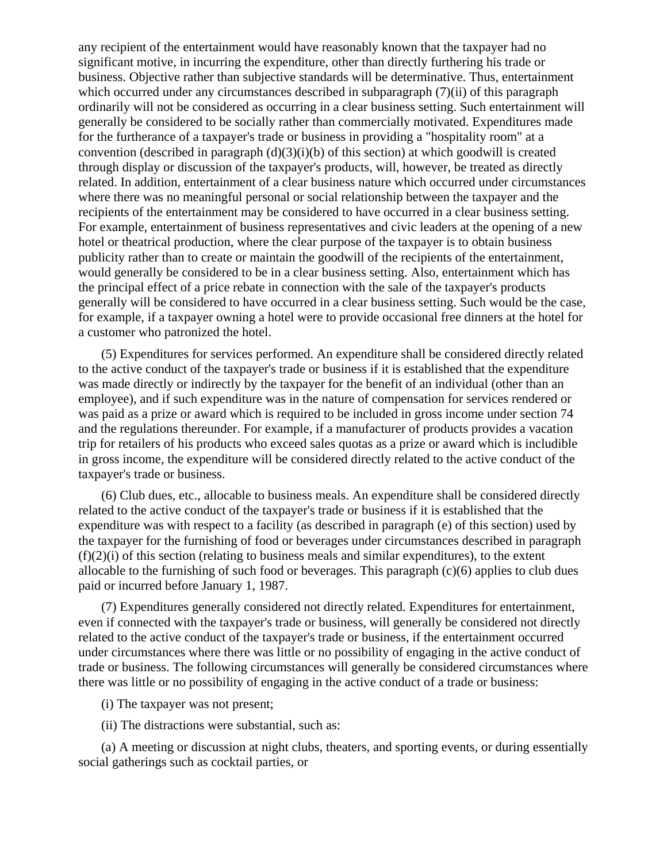any recipient of the entertainment would have reasonably known that the taxpayer had no significant motive, in incurring the expenditure, other than directly furthering his trade or business. Objective rather than subjective standards will be determinative. Thus, entertainment which occurred under any circumstances described in subparagraph (7)(ii) of this paragraph ordinarily will not be considered as occurring in a clear business setting. Such entertainment will generally be considered to be socially rather than commercially motivated. Expenditures made for the furtherance of a taxpayer's trade or business in providing a "hospitality room" at a convention (described in paragraph  $(d)(3)(i)(b)$  of this section) at which goodwill is created through display or discussion of the taxpayer's products, will, however, be treated as directly related. In addition, entertainment of a clear business nature which occurred under circumstances where there was no meaningful personal or social relationship between the taxpayer and the recipients of the entertainment may be considered to have occurred in a clear business setting. For example, entertainment of business representatives and civic leaders at the opening of a new hotel or theatrical production, where the clear purpose of the taxpayer is to obtain business publicity rather than to create or maintain the goodwill of the recipients of the entertainment, would generally be considered to be in a clear business setting. Also, entertainment which has the principal effect of a price rebate in connection with the sale of the taxpayer's products generally will be considered to have occurred in a clear business setting. Such would be the case, for example, if a taxpayer owning a hotel were to provide occasional free dinners at the hotel for a customer who patronized the hotel.

 (5) Expenditures for services performed. An expenditure shall be considered directly related to the active conduct of the taxpayer's trade or business if it is established that the expenditure was made directly or indirectly by the taxpayer for the benefit of an individual (other than an employee), and if such expenditure was in the nature of compensation for services rendered or was paid as a prize or award which is required to be included in gross income under section 74 and the regulations thereunder. For example, if a manufacturer of products provides a vacation trip for retailers of his products who exceed sales quotas as a prize or award which is includible in gross income, the expenditure will be considered directly related to the active conduct of the taxpayer's trade or business.

 (6) Club dues, etc., allocable to business meals. An expenditure shall be considered directly related to the active conduct of the taxpayer's trade or business if it is established that the expenditure was with respect to a facility (as described in paragraph (e) of this section) used by the taxpayer for the furnishing of food or beverages under circumstances described in paragraph  $(f)(2)(i)$  of this section (relating to business meals and similar expenditures), to the extent allocable to the furnishing of such food or beverages. This paragraph (c)(6) applies to club dues paid or incurred before January 1, 1987.

 (7) Expenditures generally considered not directly related. Expenditures for entertainment, even if connected with the taxpayer's trade or business, will generally be considered not directly related to the active conduct of the taxpayer's trade or business, if the entertainment occurred under circumstances where there was little or no possibility of engaging in the active conduct of trade or business. The following circumstances will generally be considered circumstances where there was little or no possibility of engaging in the active conduct of a trade or business:

(i) The taxpayer was not present;

(ii) The distractions were substantial, such as:

 (a) A meeting or discussion at night clubs, theaters, and sporting events, or during essentially social gatherings such as cocktail parties, or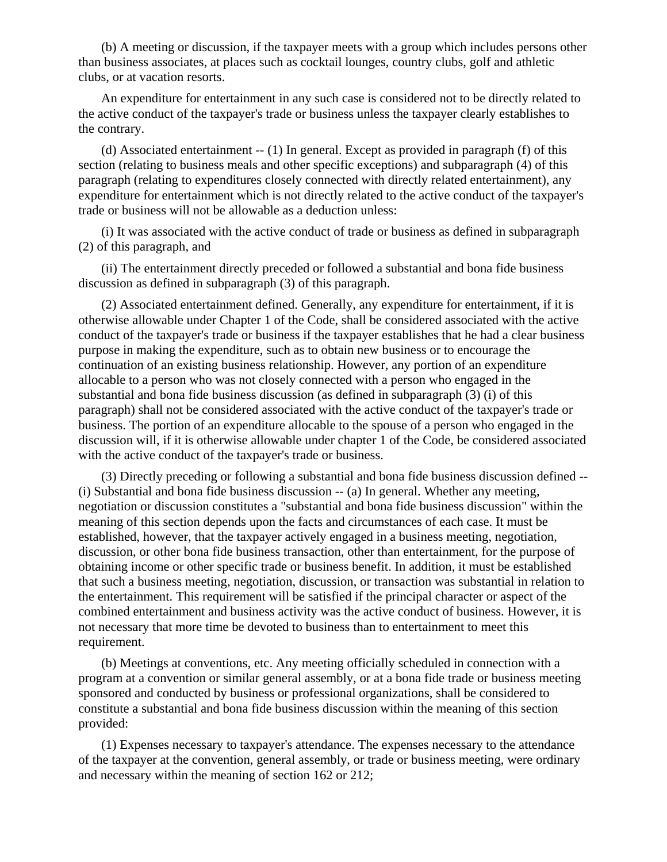(b) A meeting or discussion, if the taxpayer meets with a group which includes persons other than business associates, at places such as cocktail lounges, country clubs, golf and athletic clubs, or at vacation resorts.

 An expenditure for entertainment in any such case is considered not to be directly related to the active conduct of the taxpayer's trade or business unless the taxpayer clearly establishes to the contrary.

 (d) Associated entertainment -- (1) In general. Except as provided in paragraph (f) of this section (relating to business meals and other specific exceptions) and subparagraph (4) of this paragraph (relating to expenditures closely connected with directly related entertainment), any expenditure for entertainment which is not directly related to the active conduct of the taxpayer's trade or business will not be allowable as a deduction unless:

 (i) It was associated with the active conduct of trade or business as defined in subparagraph (2) of this paragraph, and

 (ii) The entertainment directly preceded or followed a substantial and bona fide business discussion as defined in subparagraph (3) of this paragraph.

 (2) Associated entertainment defined. Generally, any expenditure for entertainment, if it is otherwise allowable under Chapter 1 of the Code, shall be considered associated with the active conduct of the taxpayer's trade or business if the taxpayer establishes that he had a clear business purpose in making the expenditure, such as to obtain new business or to encourage the continuation of an existing business relationship. However, any portion of an expenditure allocable to a person who was not closely connected with a person who engaged in the substantial and bona fide business discussion (as defined in subparagraph (3) (i) of this paragraph) shall not be considered associated with the active conduct of the taxpayer's trade or business. The portion of an expenditure allocable to the spouse of a person who engaged in the discussion will, if it is otherwise allowable under chapter 1 of the Code, be considered associated with the active conduct of the taxpayer's trade or business.

 (3) Directly preceding or following a substantial and bona fide business discussion defined -- (i) Substantial and bona fide business discussion -- (a) In general. Whether any meeting, negotiation or discussion constitutes a "substantial and bona fide business discussion" within the meaning of this section depends upon the facts and circumstances of each case. It must be established, however, that the taxpayer actively engaged in a business meeting, negotiation, discussion, or other bona fide business transaction, other than entertainment, for the purpose of obtaining income or other specific trade or business benefit. In addition, it must be established that such a business meeting, negotiation, discussion, or transaction was substantial in relation to the entertainment. This requirement will be satisfied if the principal character or aspect of the combined entertainment and business activity was the active conduct of business. However, it is not necessary that more time be devoted to business than to entertainment to meet this requirement.

 (b) Meetings at conventions, etc. Any meeting officially scheduled in connection with a program at a convention or similar general assembly, or at a bona fide trade or business meeting sponsored and conducted by business or professional organizations, shall be considered to constitute a substantial and bona fide business discussion within the meaning of this section provided:

 (1) Expenses necessary to taxpayer's attendance. The expenses necessary to the attendance of the taxpayer at the convention, general assembly, or trade or business meeting, were ordinary and necessary within the meaning of section 162 or 212;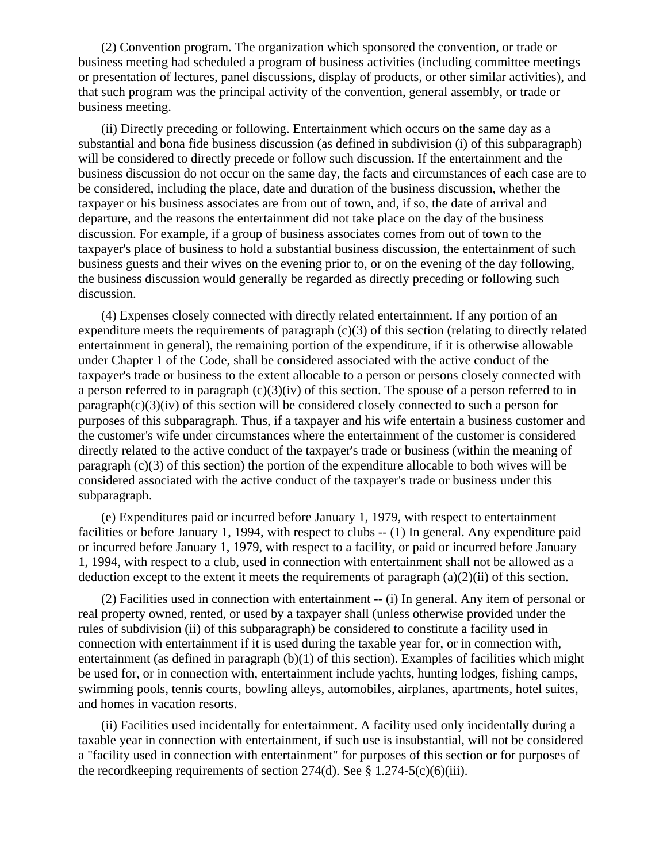(2) Convention program. The organization which sponsored the convention, or trade or business meeting had scheduled a program of business activities (including committee meetings or presentation of lectures, panel discussions, display of products, or other similar activities), and that such program was the principal activity of the convention, general assembly, or trade or business meeting.

 (ii) Directly preceding or following. Entertainment which occurs on the same day as a substantial and bona fide business discussion (as defined in subdivision (i) of this subparagraph) will be considered to directly precede or follow such discussion. If the entertainment and the business discussion do not occur on the same day, the facts and circumstances of each case are to be considered, including the place, date and duration of the business discussion, whether the taxpayer or his business associates are from out of town, and, if so, the date of arrival and departure, and the reasons the entertainment did not take place on the day of the business discussion. For example, if a group of business associates comes from out of town to the taxpayer's place of business to hold a substantial business discussion, the entertainment of such business guests and their wives on the evening prior to, or on the evening of the day following, the business discussion would generally be regarded as directly preceding or following such discussion.

 (4) Expenses closely connected with directly related entertainment. If any portion of an expenditure meets the requirements of paragraph (c)(3) of this section (relating to directly related entertainment in general), the remaining portion of the expenditure, if it is otherwise allowable under Chapter 1 of the Code, shall be considered associated with the active conduct of the taxpayer's trade or business to the extent allocable to a person or persons closely connected with a person referred to in paragraph (c)(3)(iv) of this section. The spouse of a person referred to in paragraph(c)(3)(iv) of this section will be considered closely connected to such a person for purposes of this subparagraph. Thus, if a taxpayer and his wife entertain a business customer and the customer's wife under circumstances where the entertainment of the customer is considered directly related to the active conduct of the taxpayer's trade or business (within the meaning of paragraph (c)(3) of this section) the portion of the expenditure allocable to both wives will be considered associated with the active conduct of the taxpayer's trade or business under this subparagraph.

 (e) Expenditures paid or incurred before January 1, 1979, with respect to entertainment facilities or before January 1, 1994, with respect to clubs -- (1) In general. Any expenditure paid or incurred before January 1, 1979, with respect to a facility, or paid or incurred before January 1, 1994, with respect to a club, used in connection with entertainment shall not be allowed as a deduction except to the extent it meets the requirements of paragraph  $(a)(2)(ii)$  of this section.

 (2) Facilities used in connection with entertainment -- (i) In general. Any item of personal or real property owned, rented, or used by a taxpayer shall (unless otherwise provided under the rules of subdivision (ii) of this subparagraph) be considered to constitute a facility used in connection with entertainment if it is used during the taxable year for, or in connection with, entertainment (as defined in paragraph (b)(1) of this section). Examples of facilities which might be used for, or in connection with, entertainment include yachts, hunting lodges, fishing camps, swimming pools, tennis courts, bowling alleys, automobiles, airplanes, apartments, hotel suites, and homes in vacation resorts.

 (ii) Facilities used incidentally for entertainment. A facility used only incidentally during a taxable year in connection with entertainment, if such use is insubstantial, will not be considered a "facility used in connection with entertainment" for purposes of this section or for purposes of the record keeping requirements of section 274(d). See § 1.274-5(c)(6)(iii).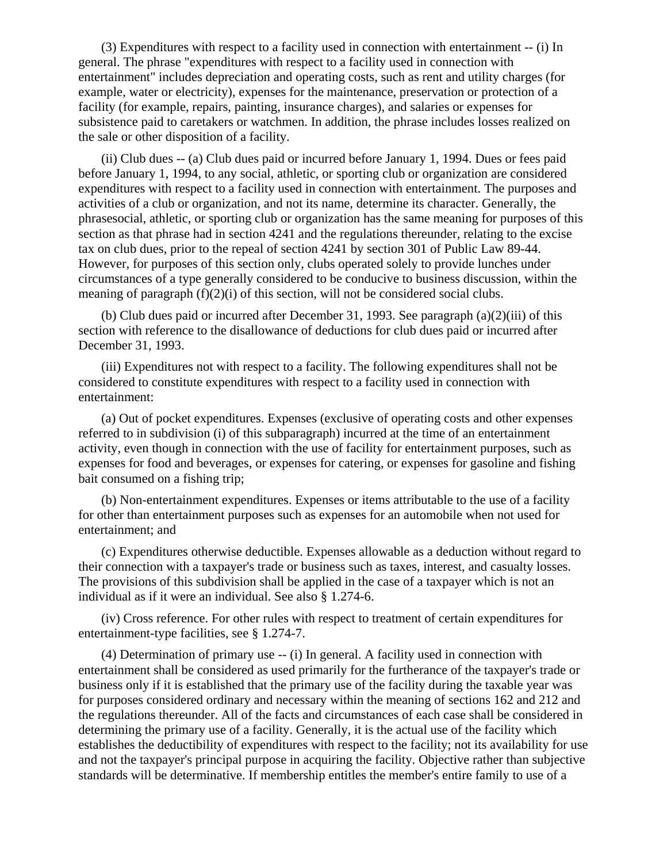(3) Expenditures with respect to a facility used in connection with entertainment -- (i) In general. The phrase "expenditures with respect to a facility used in connection with entertainment" includes depreciation and operating costs, such as rent and utility charges (for example, water or electricity), expenses for the maintenance, preservation or protection of a facility (for example, repairs, painting, insurance charges), and salaries or expenses for subsistence paid to caretakers or watchmen. In addition, the phrase includes losses realized on the sale or other disposition of a facility.

 (ii) Club dues -- (a) Club dues paid or incurred before January 1, 1994. Dues or fees paid before January 1, 1994, to any social, athletic, or sporting club or organization are considered expenditures with respect to a facility used in connection with entertainment. The purposes and activities of a club or organization, and not its name, determine its character. Generally, the phrasesocial, athletic, or sporting club or organization has the same meaning for purposes of this section as that phrase had in section 4241 and the regulations thereunder, relating to the excise tax on club dues, prior to the repeal of section 4241 by section 301 of Public Law 89-44. However, for purposes of this section only, clubs operated solely to provide lunches under circumstances of a type generally considered to be conducive to business discussion, within the meaning of paragraph  $(f)(2)(i)$  of this section, will not be considered social clubs.

(b) Club dues paid or incurred after December 31, 1993. See paragraph  $(a)(2)(iii)$  of this section with reference to the disallowance of deductions for club dues paid or incurred after December 31, 1993.

 (iii) Expenditures not with respect to a facility. The following expenditures shall not be considered to constitute expenditures with respect to a facility used in connection with entertainment:

 (a) Out of pocket expenditures. Expenses (exclusive of operating costs and other expenses referred to in subdivision (i) of this subparagraph) incurred at the time of an entertainment activity, even though in connection with the use of facility for entertainment purposes, such as expenses for food and beverages, or expenses for catering, or expenses for gasoline and fishing bait consumed on a fishing trip;

 (b) Non-entertainment expenditures. Expenses or items attributable to the use of a facility for other than entertainment purposes such as expenses for an automobile when not used for entertainment; and

 (c) Expenditures otherwise deductible. Expenses allowable as a deduction without regard to their connection with a taxpayer's trade or business such as taxes, interest, and casualty losses. The provisions of this subdivision shall be applied in the case of a taxpayer which is not an individual as if it were an individual. See also § 1.274-6.

 (iv) Cross reference. For other rules with respect to treatment of certain expenditures for entertainment-type facilities, see § 1.274-7.

 (4) Determination of primary use -- (i) In general. A facility used in connection with entertainment shall be considered as used primarily for the furtherance of the taxpayer's trade or business only if it is established that the primary use of the facility during the taxable year was for purposes considered ordinary and necessary within the meaning of sections 162 and 212 and the regulations thereunder. All of the facts and circumstances of each case shall be considered in determining the primary use of a facility. Generally, it is the actual use of the facility which establishes the deductibility of expenditures with respect to the facility; not its availability for use and not the taxpayer's principal purpose in acquiring the facility. Objective rather than subjective standards will be determinative. If membership entitles the member's entire family to use of a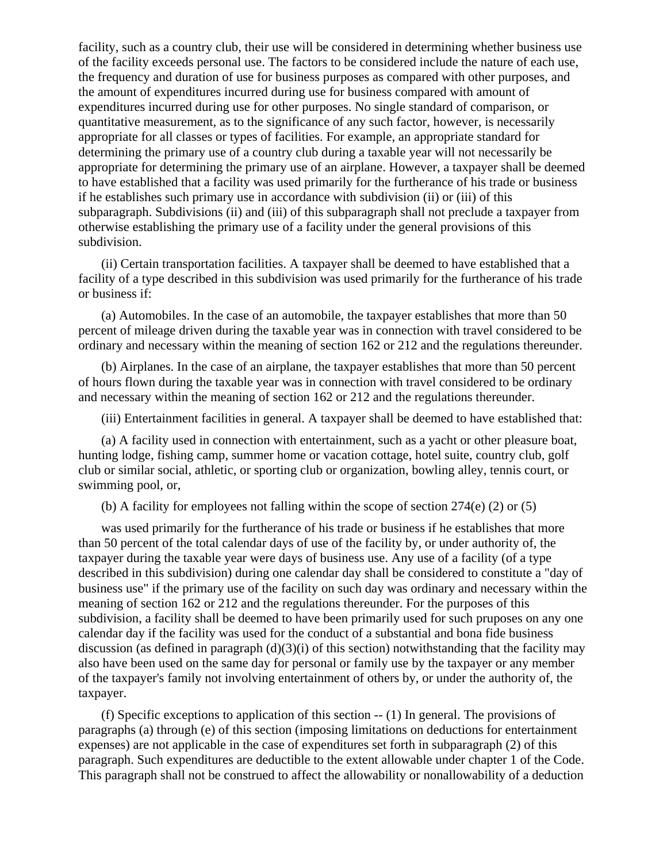facility, such as a country club, their use will be considered in determining whether business use of the facility exceeds personal use. The factors to be considered include the nature of each use, the frequency and duration of use for business purposes as compared with other purposes, and the amount of expenditures incurred during use for business compared with amount of expenditures incurred during use for other purposes. No single standard of comparison, or quantitative measurement, as to the significance of any such factor, however, is necessarily appropriate for all classes or types of facilities. For example, an appropriate standard for determining the primary use of a country club during a taxable year will not necessarily be appropriate for determining the primary use of an airplane. However, a taxpayer shall be deemed to have established that a facility was used primarily for the furtherance of his trade or business if he establishes such primary use in accordance with subdivision (ii) or (iii) of this subparagraph. Subdivisions (ii) and (iii) of this subparagraph shall not preclude a taxpayer from otherwise establishing the primary use of a facility under the general provisions of this subdivision.

 (ii) Certain transportation facilities. A taxpayer shall be deemed to have established that a facility of a type described in this subdivision was used primarily for the furtherance of his trade or business if:

 (a) Automobiles. In the case of an automobile, the taxpayer establishes that more than 50 percent of mileage driven during the taxable year was in connection with travel considered to be ordinary and necessary within the meaning of section 162 or 212 and the regulations thereunder.

 (b) Airplanes. In the case of an airplane, the taxpayer establishes that more than 50 percent of hours flown during the taxable year was in connection with travel considered to be ordinary and necessary within the meaning of section 162 or 212 and the regulations thereunder.

(iii) Entertainment facilities in general. A taxpayer shall be deemed to have established that:

 (a) A facility used in connection with entertainment, such as a yacht or other pleasure boat, hunting lodge, fishing camp, summer home or vacation cottage, hotel suite, country club, golf club or similar social, athletic, or sporting club or organization, bowling alley, tennis court, or swimming pool, or,

(b) A facility for employees not falling within the scope of section  $274(e)$  (2) or (5)

 was used primarily for the furtherance of his trade or business if he establishes that more than 50 percent of the total calendar days of use of the facility by, or under authority of, the taxpayer during the taxable year were days of business use. Any use of a facility (of a type described in this subdivision) during one calendar day shall be considered to constitute a "day of business use" if the primary use of the facility on such day was ordinary and necessary within the meaning of section 162 or 212 and the regulations thereunder. For the purposes of this subdivision, a facility shall be deemed to have been primarily used for such pruposes on any one calendar day if the facility was used for the conduct of a substantial and bona fide business discussion (as defined in paragraph  $(d)(3)(i)$  of this section) notwithstanding that the facility may also have been used on the same day for personal or family use by the taxpayer or any member of the taxpayer's family not involving entertainment of others by, or under the authority of, the taxpayer.

 (f) Specific exceptions to application of this section -- (1) In general. The provisions of paragraphs (a) through (e) of this section (imposing limitations on deductions for entertainment expenses) are not applicable in the case of expenditures set forth in subparagraph (2) of this paragraph. Such expenditures are deductible to the extent allowable under chapter 1 of the Code. This paragraph shall not be construed to affect the allowability or nonallowability of a deduction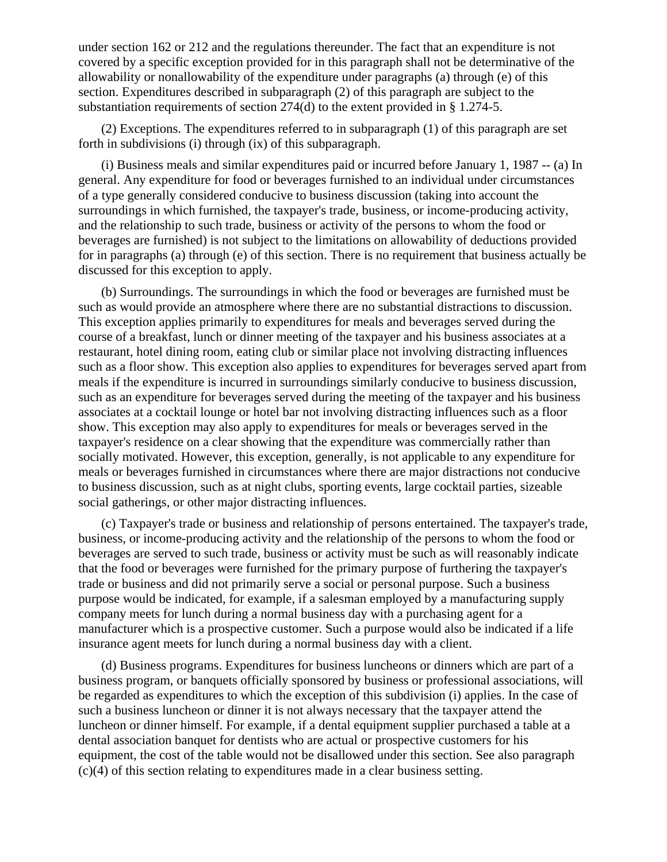under section 162 or 212 and the regulations thereunder. The fact that an expenditure is not covered by a specific exception provided for in this paragraph shall not be determinative of the allowability or nonallowability of the expenditure under paragraphs (a) through (e) of this section. Expenditures described in subparagraph (2) of this paragraph are subject to the substantiation requirements of section 274(d) to the extent provided in § 1.274-5.

 (2) Exceptions. The expenditures referred to in subparagraph (1) of this paragraph are set forth in subdivisions (i) through (ix) of this subparagraph.

 (i) Business meals and similar expenditures paid or incurred before January 1, 1987 -- (a) In general. Any expenditure for food or beverages furnished to an individual under circumstances of a type generally considered conducive to business discussion (taking into account the surroundings in which furnished, the taxpayer's trade, business, or income-producing activity, and the relationship to such trade, business or activity of the persons to whom the food or beverages are furnished) is not subject to the limitations on allowability of deductions provided for in paragraphs (a) through (e) of this section. There is no requirement that business actually be discussed for this exception to apply.

 (b) Surroundings. The surroundings in which the food or beverages are furnished must be such as would provide an atmosphere where there are no substantial distractions to discussion. This exception applies primarily to expenditures for meals and beverages served during the course of a breakfast, lunch or dinner meeting of the taxpayer and his business associates at a restaurant, hotel dining room, eating club or similar place not involving distracting influences such as a floor show. This exception also applies to expenditures for beverages served apart from meals if the expenditure is incurred in surroundings similarly conducive to business discussion, such as an expenditure for beverages served during the meeting of the taxpayer and his business associates at a cocktail lounge or hotel bar not involving distracting influences such as a floor show. This exception may also apply to expenditures for meals or beverages served in the taxpayer's residence on a clear showing that the expenditure was commercially rather than socially motivated. However, this exception, generally, is not applicable to any expenditure for meals or beverages furnished in circumstances where there are major distractions not conducive to business discussion, such as at night clubs, sporting events, large cocktail parties, sizeable social gatherings, or other major distracting influences.

 (c) Taxpayer's trade or business and relationship of persons entertained. The taxpayer's trade, business, or income-producing activity and the relationship of the persons to whom the food or beverages are served to such trade, business or activity must be such as will reasonably indicate that the food or beverages were furnished for the primary purpose of furthering the taxpayer's trade or business and did not primarily serve a social or personal purpose. Such a business purpose would be indicated, for example, if a salesman employed by a manufacturing supply company meets for lunch during a normal business day with a purchasing agent for a manufacturer which is a prospective customer. Such a purpose would also be indicated if a life insurance agent meets for lunch during a normal business day with a client.

 (d) Business programs. Expenditures for business luncheons or dinners which are part of a business program, or banquets officially sponsored by business or professional associations, will be regarded as expenditures to which the exception of this subdivision (i) applies. In the case of such a business luncheon or dinner it is not always necessary that the taxpayer attend the luncheon or dinner himself. For example, if a dental equipment supplier purchased a table at a dental association banquet for dentists who are actual or prospective customers for his equipment, the cost of the table would not be disallowed under this section. See also paragraph (c)(4) of this section relating to expenditures made in a clear business setting.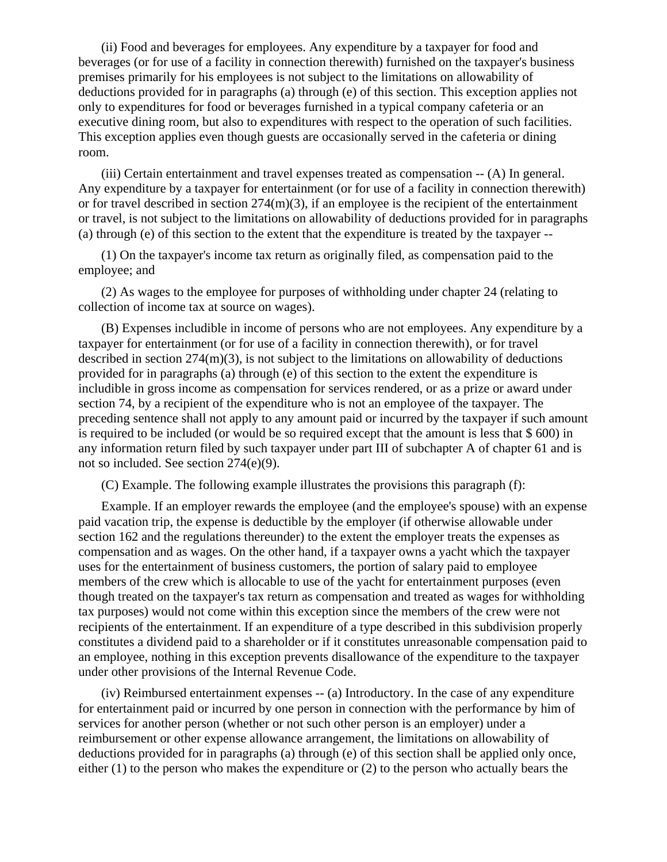(ii) Food and beverages for employees. Any expenditure by a taxpayer for food and beverages (or for use of a facility in connection therewith) furnished on the taxpayer's business premises primarily for his employees is not subject to the limitations on allowability of deductions provided for in paragraphs (a) through (e) of this section. This exception applies not only to expenditures for food or beverages furnished in a typical company cafeteria or an executive dining room, but also to expenditures with respect to the operation of such facilities. This exception applies even though guests are occasionally served in the cafeteria or dining room.

 (iii) Certain entertainment and travel expenses treated as compensation -- (A) In general. Any expenditure by a taxpayer for entertainment (or for use of a facility in connection therewith) or for travel described in section 274(m)(3), if an employee is the recipient of the entertainment or travel, is not subject to the limitations on allowability of deductions provided for in paragraphs (a) through (e) of this section to the extent that the expenditure is treated by the taxpayer --

 (1) On the taxpayer's income tax return as originally filed, as compensation paid to the employee; and

 (2) As wages to the employee for purposes of withholding under chapter 24 (relating to collection of income tax at source on wages).

 (B) Expenses includible in income of persons who are not employees. Any expenditure by a taxpayer for entertainment (or for use of a facility in connection therewith), or for travel described in section 274(m)(3), is not subject to the limitations on allowability of deductions provided for in paragraphs (a) through (e) of this section to the extent the expenditure is includible in gross income as compensation for services rendered, or as a prize or award under section 74, by a recipient of the expenditure who is not an employee of the taxpayer. The preceding sentence shall not apply to any amount paid or incurred by the taxpayer if such amount is required to be included (or would be so required except that the amount is less that \$ 600) in any information return filed by such taxpayer under part III of subchapter A of chapter 61 and is not so included. See section 274(e)(9).

(C) Example. The following example illustrates the provisions this paragraph (f):

 Example. If an employer rewards the employee (and the employee's spouse) with an expense paid vacation trip, the expense is deductible by the employer (if otherwise allowable under section 162 and the regulations thereunder) to the extent the employer treats the expenses as compensation and as wages. On the other hand, if a taxpayer owns a yacht which the taxpayer uses for the entertainment of business customers, the portion of salary paid to employee members of the crew which is allocable to use of the yacht for entertainment purposes (even though treated on the taxpayer's tax return as compensation and treated as wages for withholding tax purposes) would not come within this exception since the members of the crew were not recipients of the entertainment. If an expenditure of a type described in this subdivision properly constitutes a dividend paid to a shareholder or if it constitutes unreasonable compensation paid to an employee, nothing in this exception prevents disallowance of the expenditure to the taxpayer under other provisions of the Internal Revenue Code.

 (iv) Reimbursed entertainment expenses -- (a) Introductory. In the case of any expenditure for entertainment paid or incurred by one person in connection with the performance by him of services for another person (whether or not such other person is an employer) under a reimbursement or other expense allowance arrangement, the limitations on allowability of deductions provided for in paragraphs (a) through (e) of this section shall be applied only once, either (1) to the person who makes the expenditure or (2) to the person who actually bears the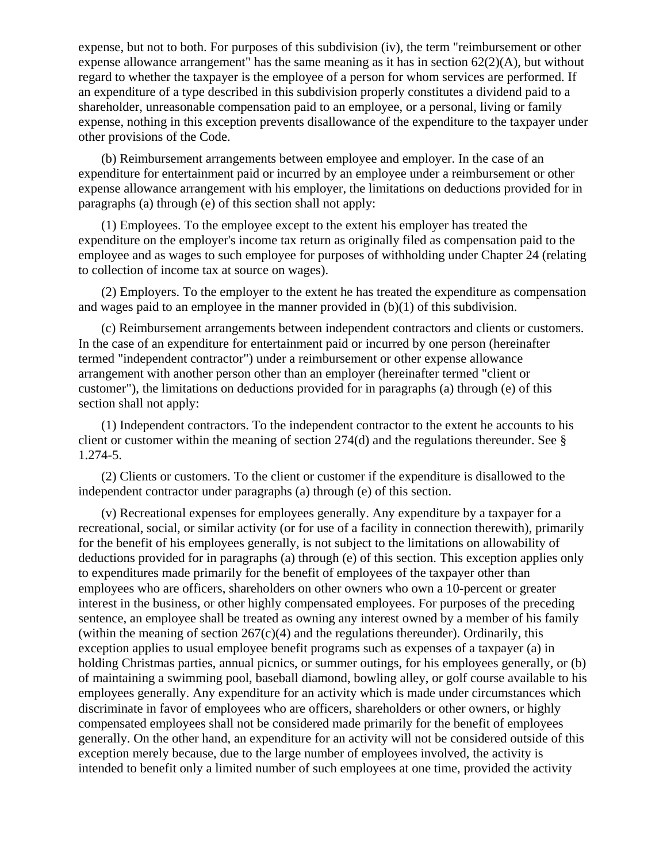expense, but not to both. For purposes of this subdivision (iv), the term "reimbursement or other expense allowance arrangement" has the same meaning as it has in section 62(2)(A), but without regard to whether the taxpayer is the employee of a person for whom services are performed. If an expenditure of a type described in this subdivision properly constitutes a dividend paid to a shareholder, unreasonable compensation paid to an employee, or a personal, living or family expense, nothing in this exception prevents disallowance of the expenditure to the taxpayer under other provisions of the Code.

 (b) Reimbursement arrangements between employee and employer. In the case of an expenditure for entertainment paid or incurred by an employee under a reimbursement or other expense allowance arrangement with his employer, the limitations on deductions provided for in paragraphs (a) through (e) of this section shall not apply:

 (1) Employees. To the employee except to the extent his employer has treated the expenditure on the employer's income tax return as originally filed as compensation paid to the employee and as wages to such employee for purposes of withholding under Chapter 24 (relating to collection of income tax at source on wages).

 (2) Employers. To the employer to the extent he has treated the expenditure as compensation and wages paid to an employee in the manner provided in (b)(1) of this subdivision.

 (c) Reimbursement arrangements between independent contractors and clients or customers. In the case of an expenditure for entertainment paid or incurred by one person (hereinafter termed "independent contractor") under a reimbursement or other expense allowance arrangement with another person other than an employer (hereinafter termed "client or customer"), the limitations on deductions provided for in paragraphs (a) through (e) of this section shall not apply:

 (1) Independent contractors. To the independent contractor to the extent he accounts to his client or customer within the meaning of section  $274(d)$  and the regulations thereunder. See § 1.274-5.

 (2) Clients or customers. To the client or customer if the expenditure is disallowed to the independent contractor under paragraphs (a) through (e) of this section.

 (v) Recreational expenses for employees generally. Any expenditure by a taxpayer for a recreational, social, or similar activity (or for use of a facility in connection therewith), primarily for the benefit of his employees generally, is not subject to the limitations on allowability of deductions provided for in paragraphs (a) through (e) of this section. This exception applies only to expenditures made primarily for the benefit of employees of the taxpayer other than employees who are officers, shareholders on other owners who own a 10-percent or greater interest in the business, or other highly compensated employees. For purposes of the preceding sentence, an employee shall be treated as owning any interest owned by a member of his family (within the meaning of section  $267(c)(4)$  and the regulations thereunder). Ordinarily, this exception applies to usual employee benefit programs such as expenses of a taxpayer (a) in holding Christmas parties, annual picnics, or summer outings, for his employees generally, or (b) of maintaining a swimming pool, baseball diamond, bowling alley, or golf course available to his employees generally. Any expenditure for an activity which is made under circumstances which discriminate in favor of employees who are officers, shareholders or other owners, or highly compensated employees shall not be considered made primarily for the benefit of employees generally. On the other hand, an expenditure for an activity will not be considered outside of this exception merely because, due to the large number of employees involved, the activity is intended to benefit only a limited number of such employees at one time, provided the activity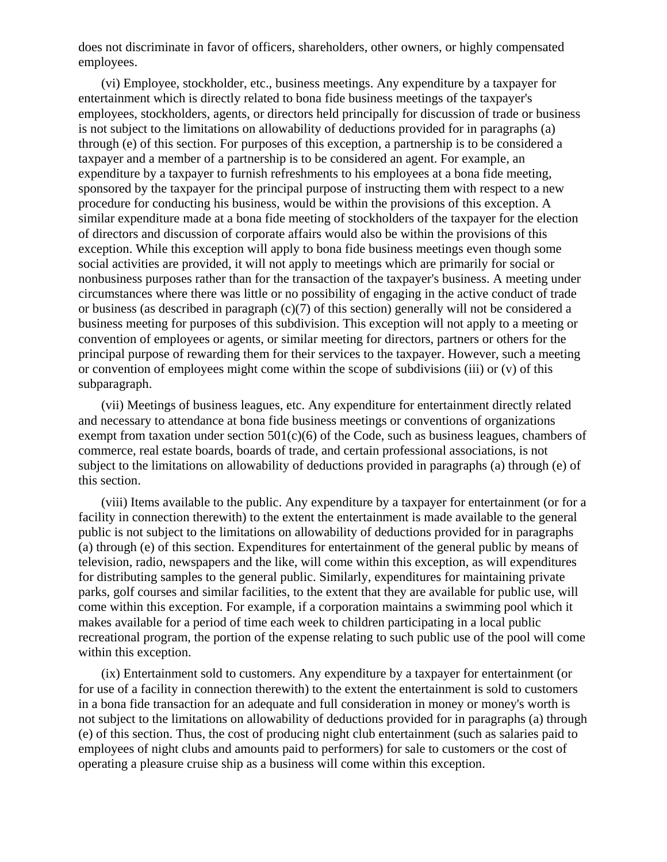does not discriminate in favor of officers, shareholders, other owners, or highly compensated employees.

 (vi) Employee, stockholder, etc., business meetings. Any expenditure by a taxpayer for entertainment which is directly related to bona fide business meetings of the taxpayer's employees, stockholders, agents, or directors held principally for discussion of trade or business is not subject to the limitations on allowability of deductions provided for in paragraphs (a) through (e) of this section. For purposes of this exception, a partnership is to be considered a taxpayer and a member of a partnership is to be considered an agent. For example, an expenditure by a taxpayer to furnish refreshments to his employees at a bona fide meeting, sponsored by the taxpayer for the principal purpose of instructing them with respect to a new procedure for conducting his business, would be within the provisions of this exception. A similar expenditure made at a bona fide meeting of stockholders of the taxpayer for the election of directors and discussion of corporate affairs would also be within the provisions of this exception. While this exception will apply to bona fide business meetings even though some social activities are provided, it will not apply to meetings which are primarily for social or nonbusiness purposes rather than for the transaction of the taxpayer's business. A meeting under circumstances where there was little or no possibility of engaging in the active conduct of trade or business (as described in paragraph (c)(7) of this section) generally will not be considered a business meeting for purposes of this subdivision. This exception will not apply to a meeting or convention of employees or agents, or similar meeting for directors, partners or others for the principal purpose of rewarding them for their services to the taxpayer. However, such a meeting or convention of employees might come within the scope of subdivisions (iii) or (v) of this subparagraph.

 (vii) Meetings of business leagues, etc. Any expenditure for entertainment directly related and necessary to attendance at bona fide business meetings or conventions of organizations exempt from taxation under section  $501(c)(6)$  of the Code, such as business leagues, chambers of commerce, real estate boards, boards of trade, and certain professional associations, is not subject to the limitations on allowability of deductions provided in paragraphs (a) through (e) of this section.

 (viii) Items available to the public. Any expenditure by a taxpayer for entertainment (or for a facility in connection therewith) to the extent the entertainment is made available to the general public is not subject to the limitations on allowability of deductions provided for in paragraphs (a) through (e) of this section. Expenditures for entertainment of the general public by means of television, radio, newspapers and the like, will come within this exception, as will expenditures for distributing samples to the general public. Similarly, expenditures for maintaining private parks, golf courses and similar facilities, to the extent that they are available for public use, will come within this exception. For example, if a corporation maintains a swimming pool which it makes available for a period of time each week to children participating in a local public recreational program, the portion of the expense relating to such public use of the pool will come within this exception.

 (ix) Entertainment sold to customers. Any expenditure by a taxpayer for entertainment (or for use of a facility in connection therewith) to the extent the entertainment is sold to customers in a bona fide transaction for an adequate and full consideration in money or money's worth is not subject to the limitations on allowability of deductions provided for in paragraphs (a) through (e) of this section. Thus, the cost of producing night club entertainment (such as salaries paid to employees of night clubs and amounts paid to performers) for sale to customers or the cost of operating a pleasure cruise ship as a business will come within this exception.